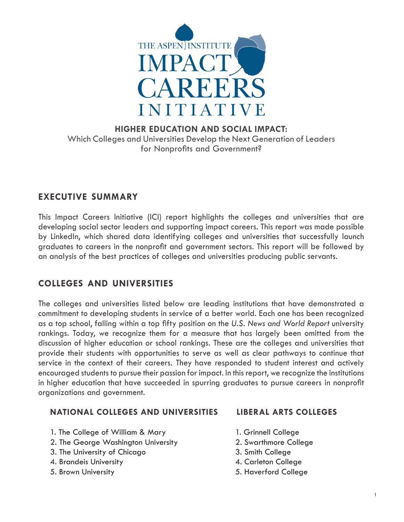

## **HIGHER EDUCATION AND SOCIAL IMPACT:** Which Colleges and Universities Develop the Next Generation of Leaders for Nonprofits and Government?

# **executive summary**

This Impact Careers Initiative (ICI) report highlights the colleges and universities that are developing social sector leaders and supporting impact careers. This report was made possible by LinkedIn, which shared data identifying colleges and universities that successfully launch graduates to careers in the nonprofit and government sectors. This report will be followed by an analysis of the best practices of colleges and universities producing public servants.

# **colleges and universities**

The colleges and universities listed below are leading institutions that have demonstrated a commitment to developing students in service of a better world. Each one has been recognized as a top school, falling within a top fifty position on the *U.S. News and World Report* university rankings. Today, we recognize them for a measure that has largely been omitted from the discussion of higher education or school rankings. These are the colleges and universities that provide their students with opportunities to serve as well as clear pathways to continue that service in the context of their careers. They have responded to student interest and actively encouraged students to pursue their passion for impact. In this report, we recognize the institutions in higher education that have succeeded in spurring graduates to pursue careers in nonprofit organizations and government.

### **NATIONAL COLLEGES AND UNIVERSITIES LIBERAL ARTS COLLEGES**

- 1. The College of William & Mary 1. Grinnell College
- 2. The George Washington University 2. Swarthmore College
- 3. The University of Chicago 3. Smith College
- 4. Brandeis University 4. Carleton College
- 
- 
- 
- 
- 
- 
- 5. Brown University 5. Haverford College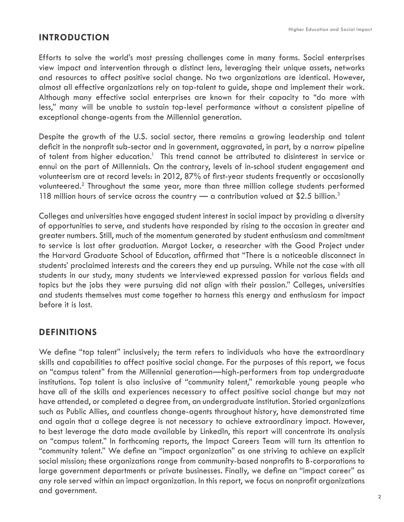# **introduction**

Efforts to solve the world's most pressing challenges come in many forms. Social enterprises view impact and intervention through a distinct lens, leveraging their unique assets, networks and resources to affect positive social change. No two organizations are identical. However, almost all effective organizations rely on top-talent to guide, shape and implement their work. Although many effective social enterprises are known for their capacity to "do more with less," many will be unable to sustain top-level performance without a consistent pipeline of exceptional change-agents from the Millennial generation.

Despite the growth of the U.S. social sector, there remains a growing leadership and talent deficit in the nonprofit sub-sector and in government, aggravated, in part, by a narrow pipeline of talent from higher education.<sup>1</sup> This trend cannot be attributed to disinterest in service or ennui on the part of Millennials. On the contrary, levels of in-school student engagement and volunteerism are at record levels: in 2012, 87% of first-year students frequently or occasionally volunteered.<sup>2</sup> Throughout the same year, more than three million college students performed 118 million hours of service across the country  $\rightarrow$  a contribution valued at \$2.5 billion.<sup>3</sup>

Colleges and universities have engaged student interest in social impact by providing a diversity of opportunities to serve, and students have responded by rising to the occasion in greater and greater numbers. Still, much of the momentum generated by student enthusiasm and commitment to service is lost after graduation. Margot Locker, a researcher with the Good Project under the Harvard Graduate School of Education, affirmed that "There is a noticeable disconnect in students' proclaimed interests and the careers they end up pursuing. While not the case with all students in our study, many students we interviewed expressed passion for various fields and topics but the jobs they were pursuing did not align with their passion." Colleges, universities and students themselves must come together to harness this energy and enthusiasm for impact before it is lost.

# **definitions**

We define "top talent" inclusively; the term refers to individuals who have the extraordinary skills and capabilities to affect positive social change. For the purposes of this report, we focus on "campus talent" from the Millennial generation—high-performers from top undergraduate institutions. Top talent is also inclusive of "community talent," remarkable young people who have all of the skills and experiences necessary to affect positive social change but may not have attended, or completed a degree from, an undergraduate institution. Storied organizations such as Public Allies, and countless change-agents throughout history, have demonstrated time and again that a college degree is not necessary to achieve extraordinary impact. However, to best leverage the data made available by LinkedIn, this report will concentrate its analysis on "campus talent." In forthcoming reports, the Impact Careers Team will turn its attention to "community talent." We define an "impact organization" as one striving to achieve an explicit social mission; these organizations range from community-based nonprofits to B-corporations to large government departments or private businesses. Finally, we define an "impact career" as any role served within an impact organization. In this report, we focus on nonprofit organizations and government.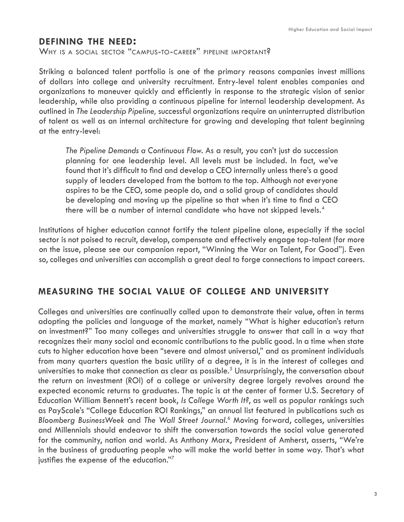## **defining the need:**

WHY IS A SOCIAL SECTOR "CAMPUS-TO-CAREER" PIPELINE IMPORTANT?

Striking a balanced talent portfolio is one of the primary reasons companies invest millions of dollars into college and university recruitment. Entry-level talent enables companies and organizations to maneuver quickly and efficiently in response to the strategic vision of senior leadership, while also providing a continuous pipeline for internal leadership development. As outlined in *The Leadership Pipeline,* successful organizations require an uninterrupted distribution of talent as well as an internal architecture for growing and developing that talent beginning at the entry-level:

*The Pipeline Demands a Continuous Flow.* As a result, you can't just do succession planning for one leadership level. All levels must be included. In fact, we've found that it's difficult to find and develop a CEO internally unless there's a good supply of leaders developed from the bottom to the top. Although not everyone aspires to be the CEO, some people do, and a solid group of candidates should be developing and moving up the pipeline so that when it's time to find a CEO there will be a number of internal candidate who have not skipped levels.<sup>4</sup>

Institutions of higher education cannot fortify the talent pipeline alone, especially if the social sector is not poised to recruit, develop, compensate and effectively engage top-talent (for more on the issue, please see our companion report, "Winning the War on Talent, For Good"). Even so, colleges and universities can accomplish a great deal to forge connections to impact careers.

# **measuring the social value of college and university**

Colleges and universities are continually called upon to demonstrate their value, often in terms adopting the policies and language of the market, namely "What is higher education's return on investment?" Too many colleges and universities struggle to answer that call in a way that recognizes their many social and economic contributions to the public good. In a time when state cuts to higher education have been "severe and almost universal," and as prominent individuals from many quarters question the basic utility of a degree, it is in the interest of colleges and universities to make that connection as clear as possible.<sup>5</sup> Unsurprisingly, the conversation about the return on investment (ROI) of a college or university degree largely revolves around the expected economic returns to graduates. The topic is at the center of former U.S. Secretary of Education William Bennett's recent book, *Is College Worth It?*, as well as popular rankings such as PayScale's "College Education ROI Rankings," an annual list featured in publications such as *Bloomberg BusinessWeek* and *The Wall Street Journal*. 6 Moving forward, colleges, universities and Millennials should endeavor to shift the conversation towards the social value generated for the community, nation and world. As Anthony Marx, President of Amherst, asserts, "We're in the business of graduating people who will make the world better in some way. That's what justifies the expense of the education."7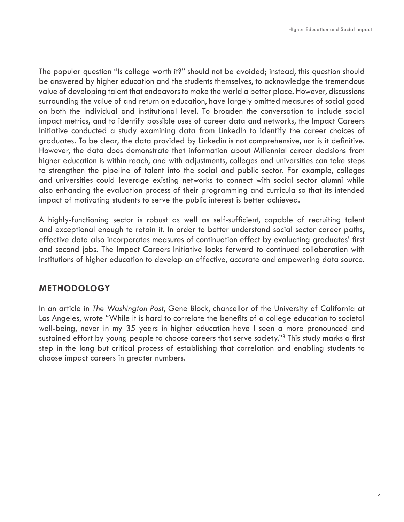The popular question "Is college worth it?" should not be avoided; instead, this question should be answered by higher education and the students themselves, to acknowledge the tremendous value of developing talent that endeavors to make the world a better place. However, discussions surrounding the value of and return on education, have largely omitted measures of social good on both the individual and institutional level. To broaden the conversation to include social impact metrics, and to identify possible uses of career data and networks, the Impact Careers Initiative conducted a study examining data from LinkedIn to identify the career choices of graduates. To be clear, the data provided by Linkedin is not comprehensive, nor is it definitive. However, the data does demonstrate that information about Millennial career decisions from higher education is within reach, and with adjustments, colleges and universities can take steps to strengthen the pipeline of talent into the social and public sector. For example, colleges and universities could leverage existing networks to connect with social sector alumni while also enhancing the evaluation process of their programming and curricula so that its intended impact of motivating students to serve the public interest is better achieved.

A highly-functioning sector is robust as well as self-sufficient, capable of recruiting talent and exceptional enough to retain it. In order to better understand social sector career paths, effective data also incorporates measures of continuation effect by evaluating graduates' first and second jobs. The Impact Careers Initiative looks forward to continued collaboration with institutions of higher education to develop an effective, accurate and empowering data source.

## **methodology**

In an article in *The Washington Post*, Gene Block, chancellor of the University of California at Los Angeles, wrote "While it is hard to correlate the benefits of a college education to societal well-being, never in my 35 years in higher education have I seen a more pronounced and sustained effort by young people to choose careers that serve society."8 This study marks a first step in the long but critical process of establishing that correlation and enabling students to choose impact careers in greater numbers.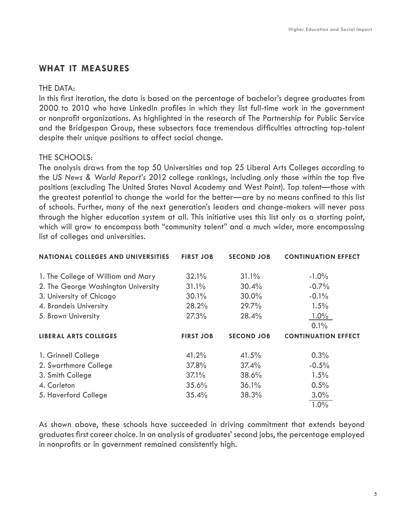# **what it measures**

#### THE DATA:

In this first iteration, the data is based on the percentage of bachelor's degree graduates from 2000 to 2010 who have LinkedIn profiles in which they list full-time work in the government or nonprofit organizations. As highlighted in the research of The Partnership for Public Service and the Bridgespan Group, these subsectors face tremendous difficulties attracting top-talent despite their unique positions to affect social change.

### THE SCHOOLS:

The analysis draws from the top 50 Universities and top 25 Liberal Arts Colleges according to the *US News & World Report's* 2012 college rankings, including only those within the top five positions (excluding The United States Naval Academy and West Point). Top talent—those with the greatest potential to change the world for the better—are by no means confined to this list of schools. Further, many of the next generation's leaders and change-makers will never pass through the higher education system at all. This initiative uses this list only as a starting point, which will grow to encompass both "community talent" and a much wider, more encompassing list of colleges and universities.

| <b>NATIONAL COLLEGES AND UNIVERSITIES</b> | <b>FIRST JOB</b> | <b>SECOND JOB</b> | <b>CONTINUATION EFFECT</b> |
|-------------------------------------------|------------------|-------------------|----------------------------|
| 1. The College of William and Mary        | 32.1%            | 31.1%             | $-1.0\%$                   |
| 2. The George Washington University       | 31.1%            | 30.4%             | $-0.7%$                    |
| 3. University of Chicago                  | 30.1%            | 30.0%             | $-0.1\%$                   |
| 4. Brandeis University                    | 28.2%            | 29.7%             | 1.5%                       |
| 5. Brown University                       | 27.3%            | 28.4%             | $1.0\%$                    |
|                                           |                  |                   | 0.1%                       |
|                                           |                  |                   |                            |
| <b>LIBERAL ARTS COLLEGES</b>              | <b>FIRST JOB</b> | <b>SECOND JOB</b> | <b>CONTINUATION EFFECT</b> |
| 1. Grinnell College                       | 41.2%            | 41.5%             | 0.3%                       |
| 2. Swarthmore College                     | 37.8%            | 37.4%             | $-0.5%$                    |
| 3. Smith College                          | 37.1%            | 38.6%             | 1.5%                       |
| 4. Carleton                               | 35.6%            | 36.1%             | 0.5%                       |
| 5. Haverford College                      | 35.4%            | 38.3%             | 3.0%                       |

As shown above, these schools have succeeded in driving commitment that extends beyond graduates first career choice. In an analysis of graduates' second jobs, the percentage employed in nonprofits or in government remained consistently high.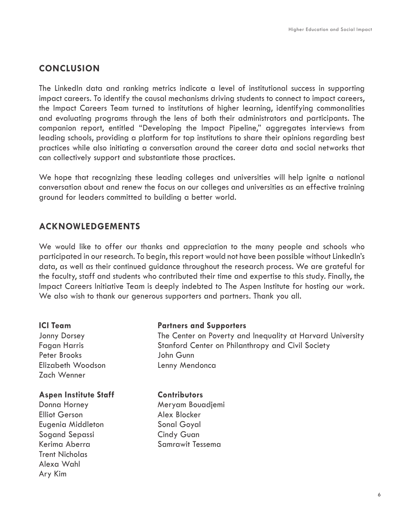# **conclusion**

The LinkedIn data and ranking metrics indicate a level of institutional success in supporting impact careers. To identify the causal mechanisms driving students to connect to impact careers, the Impact Careers Team turned to institutions of higher learning, identifying commonalities and evaluating programs through the lens of both their administrators and participants. The companion report, entitled "Developing the Impact Pipeline," aggregates interviews from leading schools, providing a platform for top institutions to share their opinions regarding best practices while also initiating a conversation around the career data and social networks that can collectively support and substantiate those practices.

We hope that recognizing these leading colleges and universities will help ignite a national conversation about and renew the focus on our colleges and universities as an effective training ground for leaders committed to building a better world.

## **acknowledgements**

We would like to offer our thanks and appreciation to the many people and schools who participated in our research. To begin, this report would not have been possible without LinkedIn's data, as well as their continued guidance throughout the research process. We are grateful for the faculty, staff and students who contributed their time and expertise to this study. Finally, the Impact Careers Initiative Team is deeply indebted to The Aspen Institute for hosting our work. We also wish to thank our generous supporters and partners. Thank you all.

Peter Brooks John Gunn Elizabeth Woodson Lenny Mendonca Zach Wenner

#### **Aspen Institute Staff Contributors**

Elliot Gerson Alex Blocker Eugenia Middleton **Sonal Goyal** Sogand Sepassi **Cindy Guan** Kerima Aberra Samrawit Tessema Trent Nicholas Alexa Wahl Ary Kim

#### **ICI Team Partners and Supporters**

Jonny Dorsey The Center on Poverty and Inequality at Harvard University Fagan Harris **Exercise Stanford Center on Philanthropy and Civil Society** 

Donna Horney **Meryam Bouadjemi**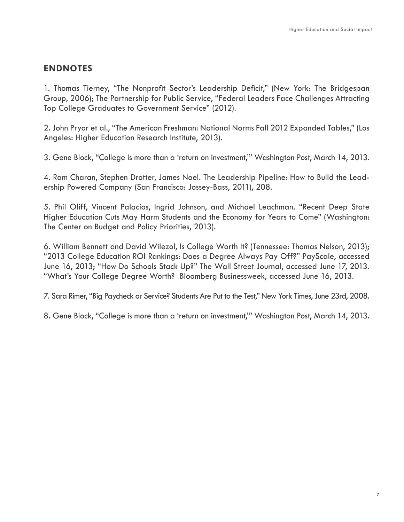# **endnotes**

1. Thomas Tierney, "The Nonprofit Sector's Leadership Deficit," (New York: The Bridgespan Group, 2006); The Partnership for Public Service, "Federal Leaders Face Challenges Attracting Top College Graduates to Government Service" (2012).

2. John Pryor et al., "The American Freshman: National Norms Fall 2012 Expanded Tables," (Los Angeles: Higher Education Research Institute, 2013).

3. Gene Block, "College is more than a 'return on investment,'" Washington Post, March 14, 2013.

4. Ram Charan, Stephen Drotter, James Noel. The Leadership Pipeline: How to Build the Leadership Powered Company (San Francisco: Jossey-Bass, 2011), 208.

5. Phil Oliff, Vincent Palacios, Ingrid Johnson, and Michael Leachman. "Recent Deep State Higher Education Cuts May Harm Students and the Economy for Years to Come" (Washington: The Center on Budget and Policy Priorities, 2013).

6. William Bennett and David Wilezol, Is College Worth It? (Tennessee: Thomas Nelson, 2013); "2013 College Education ROI Rankings: Does a Degree Always Pay Off?" PayScale, accessed June 16, 2013; "How Do Schools Stack Up?" The Wall Street Journal, accessed June 17, 2013. "What's Your College Degree Worth? Bloomberg Businessweek, accessed June 16, 2013.

7. Sara Rimer, "Big Paycheck or Service? Students Are Put to the Test," New York Times, June 23rd, 2008.

8. Gene Block, "College is more than a 'return on investment,'" Washington Post, March 14, 2013.